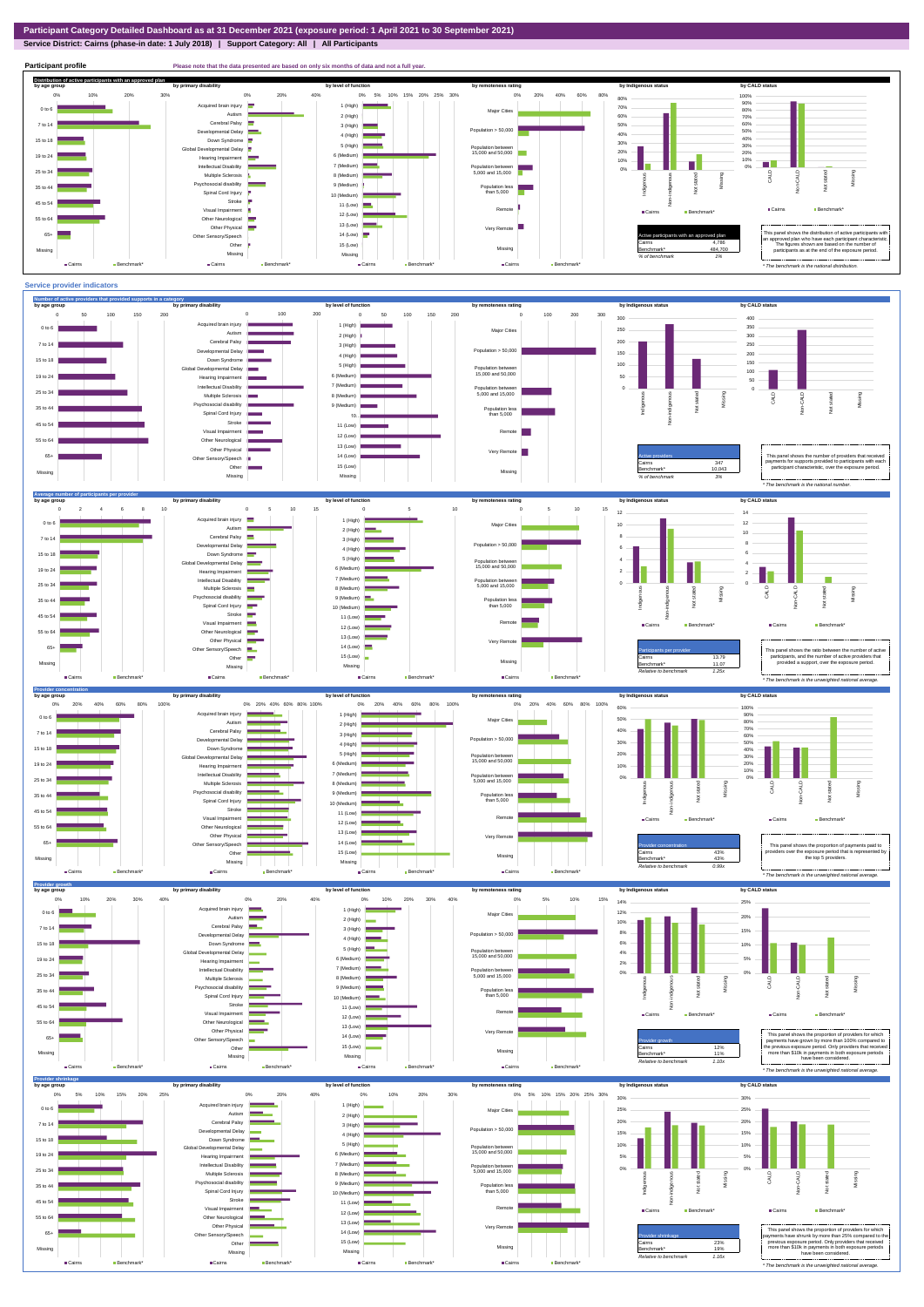**Service District: Cairns (phase-in date: 1 July 2018) | Support Category: All | All Participants**



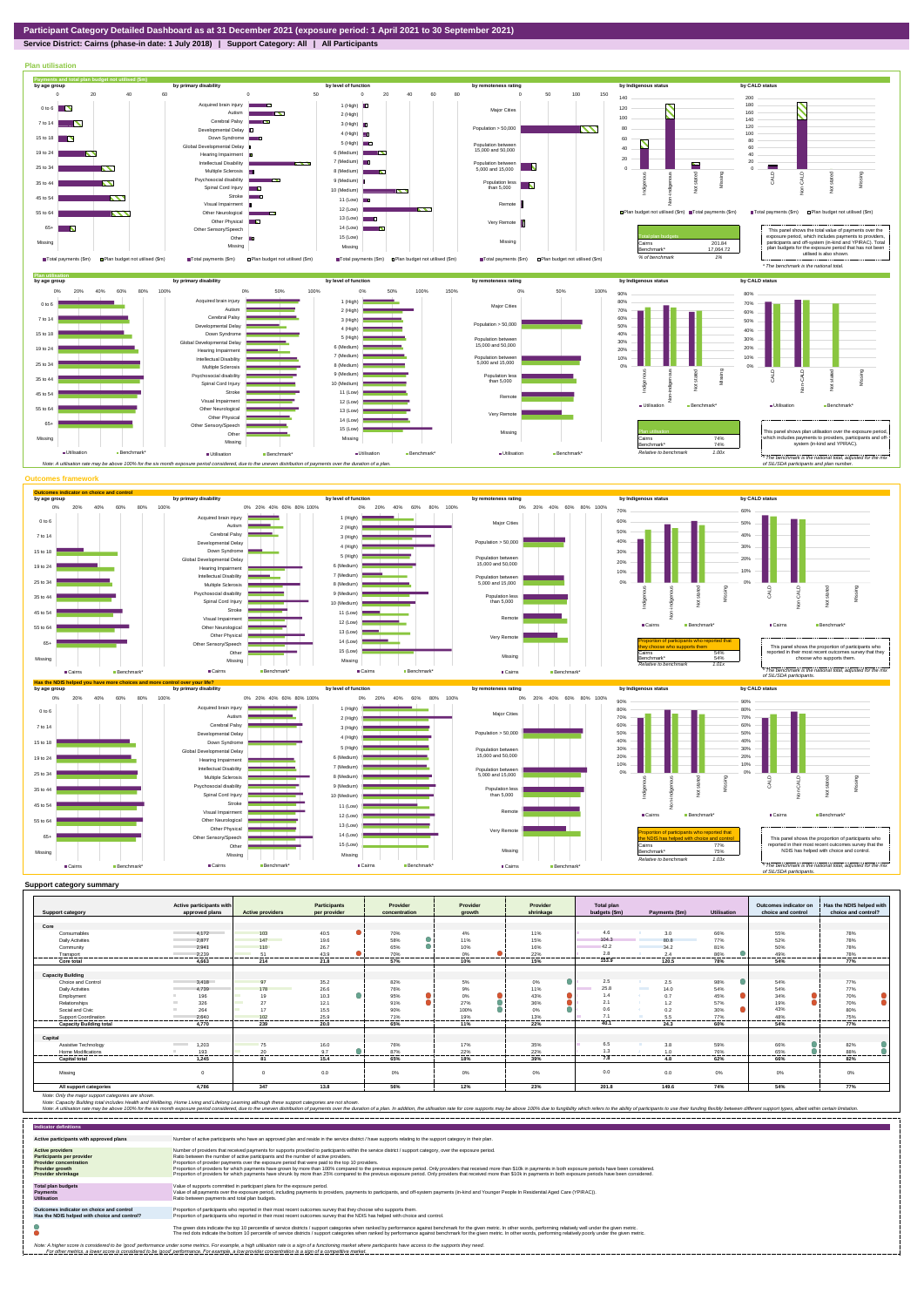## **Service District: Cairns (phase-in date: 1 July 2018) | Support Category: All | All Participants**



| <b>Support category</b>        | Active participants with<br>approved plans | <b>Active providers</b> | Participants<br>per provider | Provider<br>concentration | Provider<br>arowth | Provider<br>shrinkage | <b>Total plan</b><br>budgets (\$m) | Payments (\$m)          | <b>Utilisation</b> | Outcomes indicator on<br>choice and control | Has the NDIS helped with<br>choice and control? |
|--------------------------------|--------------------------------------------|-------------------------|------------------------------|---------------------------|--------------------|-----------------------|------------------------------------|-------------------------|--------------------|---------------------------------------------|-------------------------------------------------|
|                                |                                            |                         |                              |                           |                    |                       |                                    |                         |                    |                                             |                                                 |
| Core                           |                                            |                         |                              |                           |                    |                       | 4.6                                |                         |                    |                                             |                                                 |
| Consumables                    | 4.172                                      | 103                     | 40.5                         | 70%                       | 4%                 | 11%                   |                                    | 3.0                     | 66%                | 55%                                         | 78%                                             |
| Daily Activities               | 2.877                                      | 147                     | 19.6                         | 58%                       | 11%                | 15%                   | 104.3                              | 80.8                    | 77%                | 52%                                         | 78%                                             |
| Community                      | 2.941                                      | 110                     | 26.7                         | 65%                       | 10%                | 16%                   | 42.2                               | 34.2                    | 81%                | 50%                                         | 78%                                             |
| Transport<br>                  | 2.239<br>                                  | 51<br>.                 | 43.9<br>                     | 70%<br>.                  | 0%<br>.            | 22%<br>.              | 2.8<br>-----------                 | 2.4<br>                 | 86%<br>.           | 49%<br>--------                             | 78%<br>                                         |
| Core total                     | 4,663                                      | 214                     | 21.8                         | 57%                       | 10%                | 15%                   | 153.9                              | 120.5                   | 78%                | 54%                                         | 77%                                             |
|                                |                                            |                         |                              |                           |                    |                       |                                    |                         |                    |                                             |                                                 |
| <b>Capacity Building</b>       |                                            |                         |                              |                           |                    |                       |                                    |                         |                    |                                             |                                                 |
| Choice and Control             | 3.418                                      | 97                      | 35.2                         | 82%                       | 5%                 | 0%                    | 2.5                                | 2.5                     | 98%<br>о           | 54%                                         | 77%                                             |
| Daily Activities               | 4.739                                      | 178                     | 26.6                         | 76%                       | 9%                 | 11%                   | 25.8                               | <b>Contract</b><br>14.0 | 54%                | 54%                                         | 77%                                             |
| Employment                     | 196                                        | 19                      | $\bullet$<br>10.3            | $\bullet$<br>95%          | $0\%$              | 43%                   | 1.4                                | 0.7                     | 45%                | 34%                                         | 70%                                             |
| Relationships                  | 326                                        | 27                      | 12.1                         | 91%                       | 27%                | 36%                   | 2.1                                | 1.2                     | 57%                | 19%                                         | 70%                                             |
| Social and Civic               | 264                                        | 17                      | 15.5                         | 90%                       | 100%               | $0\%$                 | 0.6                                | 0.2                     | 30%                | 43%                                         | 80%                                             |
| <b>Support Coordination</b>    | 2.640                                      | 102                     | 25.9                         | 71%                       | 19%                | 13%                   | 7.1                                | 5.5                     | 77%                | 48%                                         | 75%                                             |
| <b>Capacity Building total</b> | 4.770                                      | .<br>239                | --------<br>20.0             | -------<br>65%            | 11%                | .<br>22%              | .<br>40.1                          | <br>24.3                | ------<br>60%      | ------<br>54%                               | --------<br>77%                                 |
| Capital                        |                                            |                         |                              |                           |                    |                       |                                    |                         |                    |                                             |                                                 |
| Assistive Technology           | 1,203<br><b>Contract Contract</b>          | 75                      | 16.0                         | 76%                       | 17%                | 35%                   | 6.5                                | 3.8                     | 59%                | 66%                                         | 82%                                             |
| Home Modifications             | 193                                        | 20                      | 9.7                          | 87%                       | 22%                | 22%                   | 1.3                                | 1.0                     | 76%                | 65%                                         | 88%                                             |
| <b>Capital total</b>           | 1.245                                      | .<br>81                 | .<br>15.4                    | 65%                       | 18%                | 39%                   | --------<br>7.8                    | -------<br>4.8          | <br>62%            | 66%                                         | 82%                                             |
|                                |                                            |                         |                              |                           |                    |                       |                                    |                         |                    |                                             |                                                 |
| Missing                        | $\Omega$                                   | $\Omega$                | 0.0                          | 0%                        | 0%                 | 0%                    | 0.0                                | 0.0                     | $0\%$              | 0%                                          | 0%                                              |
| All support categories         | 4.786                                      | 347                     | 13.8                         | 56%                       | 12%                | 23%                   | 201.8                              | 149.6                   | 74%                | 54%                                         | 77%                                             |

Note: Only the major support categories are shown.<br>Note: Capacity Building total individual Wellbeing, Home Living and Lifelong Learning although these support categories are not shown.<br>Note: A utilisation rate may be abov

| <b>Indicator definitions</b>                                                                                                                        |                                                                                                                                                                                                                                                                                                                                                                                                                                                                                                                                                                                                                                                                                                                                                                                                                 |
|-----------------------------------------------------------------------------------------------------------------------------------------------------|-----------------------------------------------------------------------------------------------------------------------------------------------------------------------------------------------------------------------------------------------------------------------------------------------------------------------------------------------------------------------------------------------------------------------------------------------------------------------------------------------------------------------------------------------------------------------------------------------------------------------------------------------------------------------------------------------------------------------------------------------------------------------------------------------------------------|
| Active participants with approved plans                                                                                                             | Number of active participants who have an approved plan and reside in the service district / have supports relating to the support category in their plan.                                                                                                                                                                                                                                                                                                                                                                                                                                                                                                                                                                                                                                                      |
| <b>Active providers</b><br><b>Participants per provider</b><br><b>Provider concentration</b><br><b>Provider growth</b><br><b>Provider shrinkage</b> | Number of providers that received payments for supports provided to participants within the service district / support category, over the exposure period.<br>Ratio between the number of active participants and the number of active providers.<br>Proportion of provider payments over the exposure period that were paid to the top 10 providers.<br>Proportion of providers for which payments have grown by more than 100% compared to the previous exposure period. Only providers that received more than \$10k in payments in both exposure periods have been considered.<br>Proportion of providers for which payments have shrunk by more than 25% compared to the previous exposure period. Only providers that received more than \$10k in payments in both exposure periods have been considered. |
| <b>Total plan budgets</b><br><b>Payments</b><br><b>Utilisation</b>                                                                                  | Value of supports committed in participant plans for the exposure period.<br>Value of all payments over the exposure period, including payments to providers, payments to participants, and off-system payments (in-kind and Younger People In Residential Aged Care (YPIRAC)).<br>Ratio between payments and total plan budgets.                                                                                                                                                                                                                                                                                                                                                                                                                                                                               |
| Outcomes indicator on choice and control<br>Has the NDIS helped with choice and control?                                                            | Proportion of participants who reported in their most recent outcomes survey that they choose who supports them.<br>Proportion of participants who reported in their most recent outcomes survey that the NDIS has helped with choice and control.                                                                                                                                                                                                                                                                                                                                                                                                                                                                                                                                                              |
|                                                                                                                                                     | The green dots indicate the top 10 percentile of service districts / support categories when ranked by performance against benchmark for the given metric. In other words, performing relatively well under the given metric.<br>The red dots indicate the bottom 10 percentile of service districts / support categories when ranked by performance against benchmark for the given metric. In other words, performing relatively poorly under the given metri                                                                                                                                                                                                                                                                                                                                                 |
|                                                                                                                                                     | Note: A higher score is considered to be 'good' performance under some metrics. For example, a high utilisation rate is a sign of a functioning market where participants have access to the supports they need.<br>For other metrics, a lower score is considered to be 'good' performance. For example, a low provider concentration is a sign of a competitive market.                                                                                                                                                                                                                                                                                                                                                                                                                                       |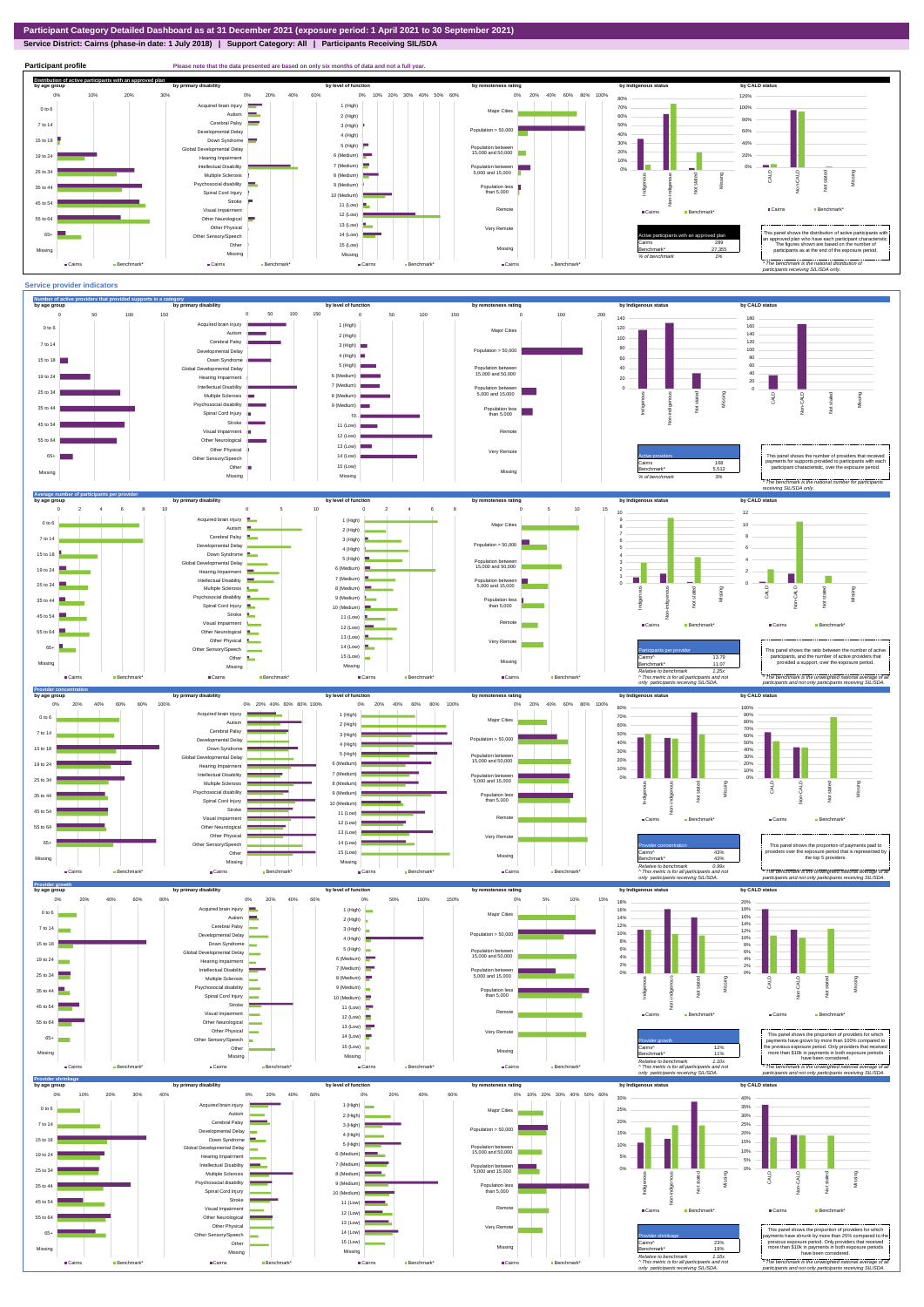**Service District: Cairns (phase-in date: 1 July 2018) | Support Category: All | Participants Receiving SIL/SDA**



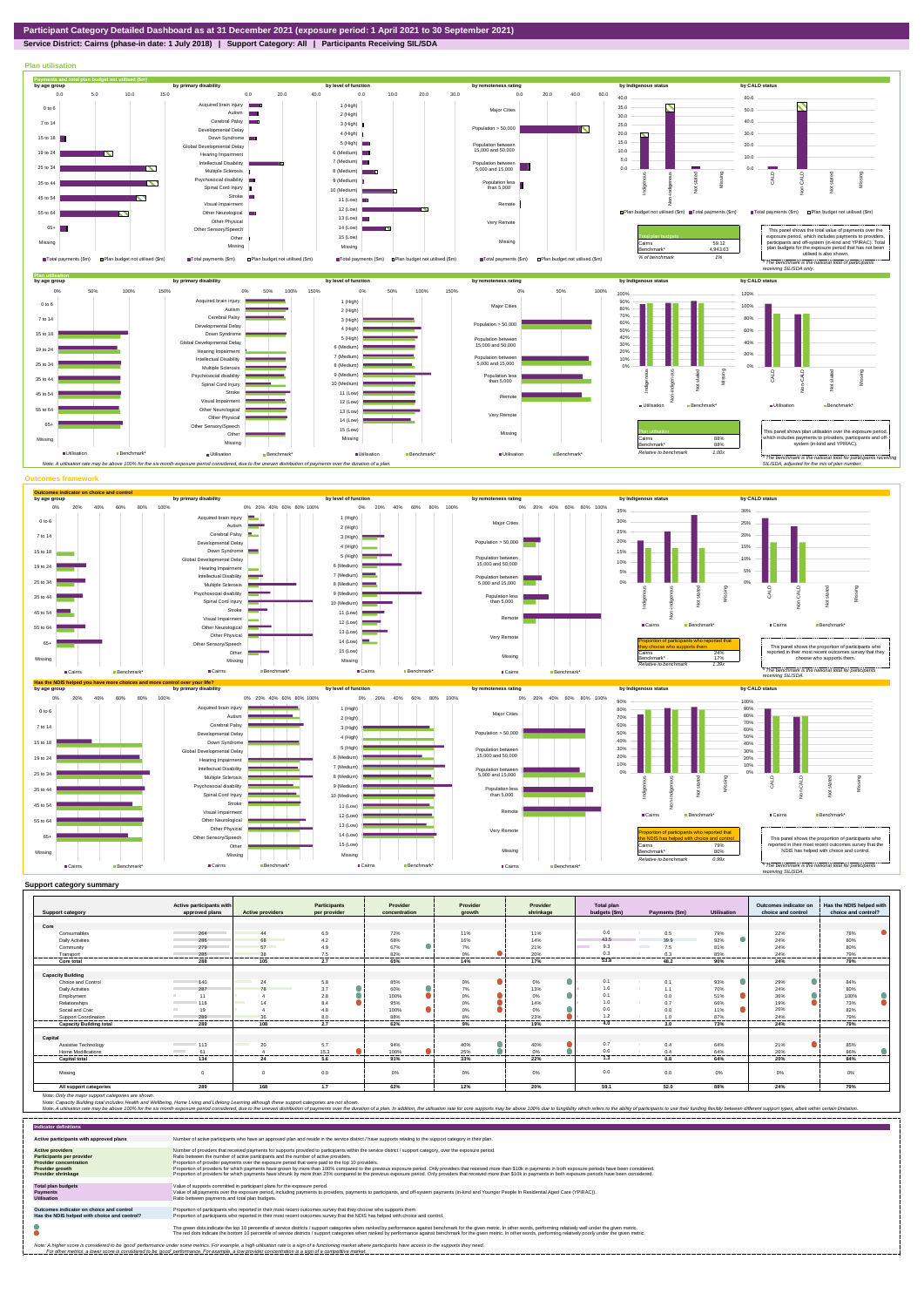**Service District: Cairns (phase-in date: 1 July 2018) | Support Category: All | Participants Receiving SIL/SDA**



| <b>Support category</b>        | Active participants with<br>approved plans    | <b>Active providers</b>                                                                                                     | <b>Participants</b><br>per provider | Provider<br>concentration | Provider<br>arowth | Provider<br>shrinkage | <b>Total plan</b><br>budgets (\$m) | Payments (\$m)             | Utilisation | Outcomes indicator on<br>choice and control | Has the NDIS helped with<br>choice and control? |
|--------------------------------|-----------------------------------------------|-----------------------------------------------------------------------------------------------------------------------------|-------------------------------------|---------------------------|--------------------|-----------------------|------------------------------------|----------------------------|-------------|---------------------------------------------|-------------------------------------------------|
|                                |                                               |                                                                                                                             |                                     |                           |                    |                       |                                    |                            |             |                                             |                                                 |
| Core                           |                                               |                                                                                                                             |                                     |                           |                    |                       |                                    |                            |             |                                             |                                                 |
| Consumables                    | 264                                           | 44                                                                                                                          | 6.0                                 | 72%                       | 11%                | 11%                   | 0.6                                | 0.5                        | 79%         | 22%                                         | 78%                                             |
| <b>Daily Activities</b>        | 286                                           | 68<br><b>Contract Contract Contract Contract Contract Contract Contract Contract Contract Contract Contract Contract Co</b> | 4.2                                 | 68%                       | 16%                | 14%                   | 43.5                               | 39.9                       | 92%         | 24%                                         | 80%                                             |
| Community                      | 279                                           | 57<br>a sa T                                                                                                                | 4.9                                 | 67%                       | 7%                 | 21%                   | 9.3                                | <b>The Contract</b><br>7.5 | 81%         | 24%                                         | 80%                                             |
| Transport                      | 285                                           | 38                                                                                                                          | 7.5                                 | 82%                       | 0%                 | 20%                   | 0.3                                | 0.3                        | 85%         | 24%                                         | 79%                                             |
| Core total                     | -------<br>288                                | ------<br>105                                                                                                               | .<br>2.7                            | .<br>65%                  | ------<br>14%      | 17%                   | <br>53.8                           | 48.2                       | 90%         | 24%                                         | 79%                                             |
|                                |                                               |                                                                                                                             |                                     |                           |                    |                       |                                    |                            |             |                                             |                                                 |
| <b>Capacity Building</b>       |                                               |                                                                                                                             |                                     |                           |                    |                       |                                    |                            |             |                                             |                                                 |
| Choice and Control             | 140                                           | 24                                                                                                                          | 5.8                                 | 85%                       | 0%                 | $0\%$                 | 0.1                                | 0.1                        | 93%         | о<br>29%                                    | 84%                                             |
| <b>Daily Activities</b>        | 287                                           | 78                                                                                                                          | 3.7                                 | 60%                       | 7%                 | 13%                   | 1.6                                | 1.1                        | 70%         | 24%                                         | 80%                                             |
| Employment                     | 11                                            |                                                                                                                             | 2.8                                 | 100%                      | 0%                 | ∩<br>$0\%$            | 0.1                                | 0.0                        | 51%         | 36%                                         | 100%                                            |
| Relationships                  | 118                                           | 14                                                                                                                          |                                     | 95%                       | 0%                 | 14%                   | 1.0                                | 0.7                        | 66%         | 19%                                         | 73%                                             |
| Social and Civic               | 19                                            |                                                                                                                             | 4.8                                 | 100%                      | 0%                 | 0%                    | 0.0                                | 0.0                        | 11%         | 26%                                         | 82%                                             |
| Support Coordination           | 289                                           | 36                                                                                                                          | 8.0                                 | 88%                       | 8%                 | 23%                   | 1.2                                | 1.0                        | 87%         | 24%                                         | 79%                                             |
| <b>Capacity Building total</b> | 289                                           | 108                                                                                                                         | 2.7                                 | 62%                       | 9%                 | 19%                   | 4.0                                | 3.0                        | 73%         | 24%                                         | 79%                                             |
|                                |                                               |                                                                                                                             |                                     |                           |                    |                       |                                    |                            |             |                                             |                                                 |
| Capital                        |                                               |                                                                                                                             |                                     |                           |                    |                       |                                    |                            |             |                                             |                                                 |
| Assistive Technology           | 113                                           | 20<br><b>Contract Contract</b>                                                                                              | 5.7                                 | 94%                       | 40%                | 40%                   | 0.7                                | 0.4                        | 64%         | 21%                                         | 85%                                             |
| <b>Home Modifications</b>      | 61<br><b>Contract Contract</b><br>----------- |                                                                                                                             | 15.3<br>                            | 100%                      | 25%                | 0%<br>.               | 0.6<br>                            | 0.4<br>                    | 64%<br>     | 26%<br>. <del>.</del>                       | 86%<br>--------                                 |
| <b>Capital total</b>           | 134                                           | 24                                                                                                                          | 5.6                                 | 91%                       | 33%                | 22%                   | 1.3                                | 0.8                        | 64%         | 20%                                         | 84%                                             |
|                                |                                               |                                                                                                                             |                                     |                           |                    |                       |                                    |                            |             |                                             |                                                 |
| Missing                        |                                               |                                                                                                                             | 0.0                                 | 0%                        | 0%                 | 0%                    | 0.0                                | 0.0                        | $0\%$       | 0%                                          | $0\%$                                           |
| All support categories         | 289                                           | 168                                                                                                                         | 1.7                                 | 62%                       | 12%                | 20%                   | 59.1                               | 52.0                       | 88%         | 24%                                         | 79%                                             |

| <b>Indicator definitions</b>                                                                                                                 |                                                                                                                                                                                                                                                                                                                                                                                                                                                                                                                                                                                                                                                                                                                                                                                                                 |
|----------------------------------------------------------------------------------------------------------------------------------------------|-----------------------------------------------------------------------------------------------------------------------------------------------------------------------------------------------------------------------------------------------------------------------------------------------------------------------------------------------------------------------------------------------------------------------------------------------------------------------------------------------------------------------------------------------------------------------------------------------------------------------------------------------------------------------------------------------------------------------------------------------------------------------------------------------------------------|
| Active participants with approved plans                                                                                                      | Number of active participants who have an approved plan and reside in the service district / have supports relating to the support category in their plan.                                                                                                                                                                                                                                                                                                                                                                                                                                                                                                                                                                                                                                                      |
| <b>Active providers</b><br>Participants per provider<br><b>Provider concentration</b><br><b>Provider growth</b><br><b>Provider shrinkage</b> | Number of providers that received payments for supports provided to participants within the service district / support category, over the exposure period,<br>Ratio between the number of active participants and the number of active providers.<br>Proportion of provider payments over the exposure period that were paid to the top 10 providers.<br>Proportion of providers for which payments have grown by more than 100% compared to the previous exposure period. Only providers that received more than \$10k in payments in both exposure periods have been considered.<br>Proportion of providers for which payments have shrunk by more than 25% compared to the previous exposure period. Only providers that received more than \$10k in payments in both exposure periods have been considered. |
| <b>Total plan budgets</b><br>Payments<br><b>Utilisation</b>                                                                                  | Value of supports committed in participant plans for the exposure period.<br>Value of all payments over the exposure period, including payments to providers, payments to participants, and off-system payments (in-kind and Younger People In Residential Aged Care (YPIRAC)).<br>Ratio between payments and total plan budgets.                                                                                                                                                                                                                                                                                                                                                                                                                                                                               |
| Outcomes indicator on choice and control<br>Has the NDIS helped with choice and control?                                                     | Proportion of participants who reported in their most recent outcomes survey that they choose who supports them.<br>Proportion of participants who reported in their most recent outcomes survey that the NDIS has helped with choice and control.                                                                                                                                                                                                                                                                                                                                                                                                                                                                                                                                                              |
|                                                                                                                                              | The green dots indicate the top 10 percentile of service districts / support categories when ranked by performance against benchmark for the given metric. In other words, performing relatively well under the given metric.<br>The red dots indicate the bottom 10 percentile of service districts / support categories when ranked by performance against benchmark for the given metric. In other words, performing relatively poorly under the given metri                                                                                                                                                                                                                                                                                                                                                 |
|                                                                                                                                              | Note: A higher score is considered to be 'good' performance under some metrics. For example, a high utilisation rate is a sign of a functioning market where participants have access to the supports they need.<br>For other metrics, a lower score is considered to be 'good' performance. For example, a low provider concentration is a sign of a competitive market.                                                                                                                                                                                                                                                                                                                                                                                                                                       |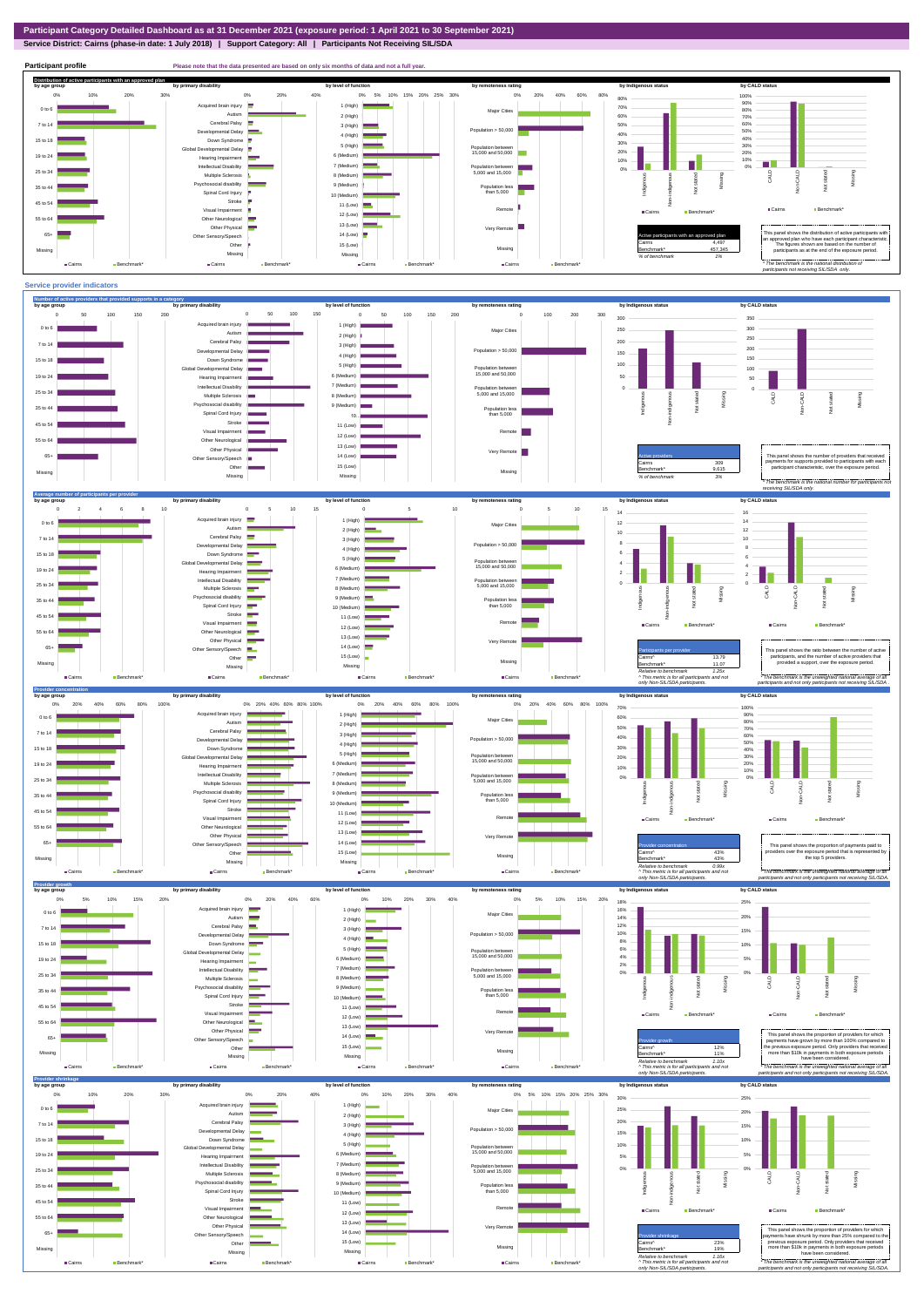**Service District: Cairns (phase-in date: 1 July 2018) | Support Category: All | Participants Not Receiving SIL/SDA**